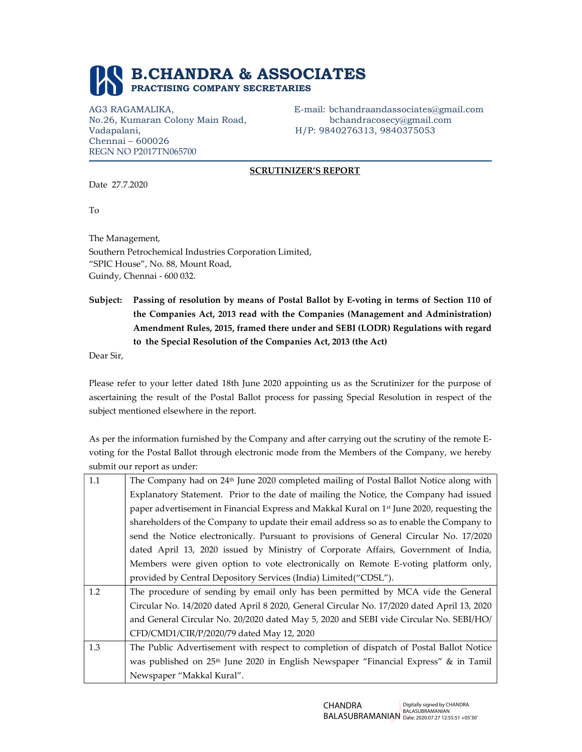

Vadapalani, H/P: 9840276313, 9840375053 Chennai – 600026 REGN NO P2017TN065700

AG3 RAGAMALIKA, E-mail: bchandraandassociates@gmail.com No.26, Kumaran Colony Main Road, bchandracosecy@gmail.com

## SCRUTINIZER'S REPORT

Date 27.7.2020

To

The Management, Southern Petrochemical Industries Corporation Limited, "SPIC House", No. 88, Mount Road, Guindy, Chennai - 600 032.

Subject: Passing of resolution by means of Postal Ballot by E-voting in terms of Section 110 of the Companies Act, 2013 read with the Companies (Management and Administration) Amendment Rules, 2015, framed there under and SEBI (LODR) Regulations with regard to the Special Resolution of the Companies Act, 2013 (the Act)

Dear Sir,

Please refer to your letter dated 18th June 2020 appointing us as the Scrutinizer for the purpose of ascertaining the result of the Postal Ballot process for passing Special Resolution in respect of the subject mentioned elsewhere in the report.

As per the information furnished by the Company and after carrying out the scrutiny of the remote Evoting for the Postal Ballot through electronic mode from the Members of the Company, we hereby submit our report as under:

| 1.1 | The Company had on 24 <sup>th</sup> June 2020 completed mailing of Postal Ballot Notice along with     |  |  |  |  |  |
|-----|--------------------------------------------------------------------------------------------------------|--|--|--|--|--|
|     | Explanatory Statement. Prior to the date of mailing the Notice, the Company had issued                 |  |  |  |  |  |
|     | paper advertisement in Financial Express and Makkal Kural on 1 <sup>st</sup> June 2020, requesting the |  |  |  |  |  |
|     | shareholders of the Company to update their email address so as to enable the Company to               |  |  |  |  |  |
|     | send the Notice electronically. Pursuant to provisions of General Circular No. 17/2020                 |  |  |  |  |  |
|     | dated April 13, 2020 issued by Ministry of Corporate Affairs, Government of India,                     |  |  |  |  |  |
|     | Members were given option to vote electronically on Remote E-voting platform only,                     |  |  |  |  |  |
|     | provided by Central Depository Services (India) Limited ("CDSL").                                      |  |  |  |  |  |
| 1.2 | The procedure of sending by email only has been permitted by MCA vide the General                      |  |  |  |  |  |
|     | Circular No. 14/2020 dated April 8 2020, General Circular No. 17/2020 dated April 13, 2020             |  |  |  |  |  |
|     | and General Circular No. 20/2020 dated May 5, 2020 and SEBI vide Circular No. SEBI/HO/                 |  |  |  |  |  |
|     | CFD/CMD1/CIR/P/2020/79 dated May 12, 2020                                                              |  |  |  |  |  |
| 1.3 | The Public Advertisement with respect to completion of dispatch of Postal Ballot Notice                |  |  |  |  |  |
|     | was published on 25 <sup>th</sup> June 2020 in English Newspaper "Financial Express" & in Tamil        |  |  |  |  |  |
|     | Newspaper "Makkal Kural".                                                                              |  |  |  |  |  |